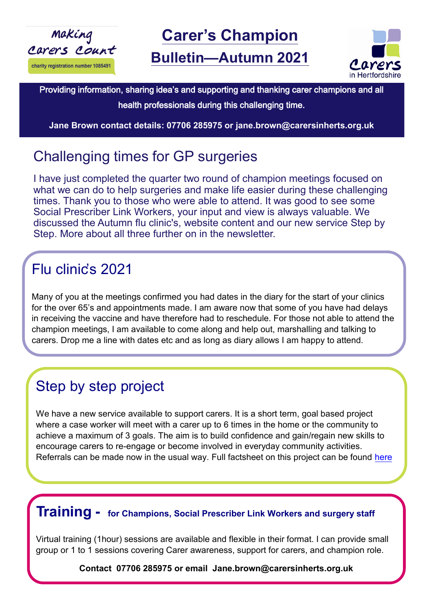



### Providing information, sharing idea's and supporting and thanking carer champions and all

health professionals during this challenging time.

**Jane Brown contact details: 07706 285975 or jane.brown@carersinherts.org.uk** 

## Challenging times for GP surgeries

I have just completed the quarter two round of champion meetings focused on what we can do to help surgeries and make life easier during these challenging times. Thank you to those who were able to attend. It was good to see some Social Prescriber Link Workers, your input and view is always valuable. We discussed the Autumn flu clinic's, website content and our new service Step by Step. More about all three further on in the newsletter.

## Flu clinic's 2021

Many of you at the meetings confirmed you had dates in the diary for the start of your clinics for the over 65's and appointments made. I am aware now that some of you have had delays in receiving the vaccine and have therefore had to reschedule. For those not able to attend the champion meetings, I am available to come along and help out, marshalling and talking to carers. Drop me a line with dates etc and as long as diary allows I am happy to attend.

## Step by step project

We have a new service available to support carers. It is a short term, goal based project where a case worker will meet with a carer up to 6 times in the home or the community to achieve a maximum of 3 goals. The aim is to build confidence and gain/regain new skills to encourage carers to re-engage or become involved in everyday community activities. Referrals can be made now in the usual way. Full factsheet on this project can be found [here](file:///C:/Users/jane.brown/OneDrive - Carers in Hertfordshire/WORK/Step by Step/Step by Step External Factsheet.docx)

#### **Training - for Champions, Social Prescriber Link Workers and surgery staff**

Virtual training (1hour) sessions are available and flexible in their format. I can provide small group or 1 to 1 sessions covering Carer awareness, support for carers, and champion role.

**Contact 07706 285975 or email Jane.brown@carersinherts.org.uk**